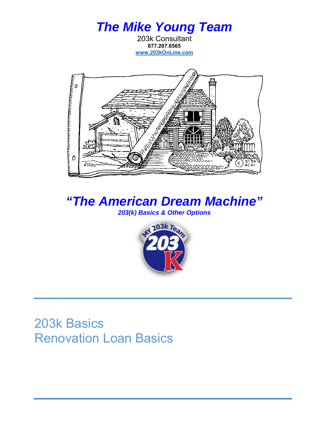



*"The American Dream Machine" 203(k) Basics & Other Options*



### 203k Basics Renovation Loan Basics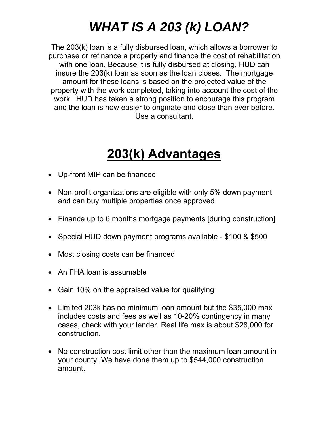# *WHAT IS A 203 (k) LOAN?*

The 203(k) loan is a fully disbursed loan, which allows a borrower to purchase or refinance a property and finance the cost of rehabilitation with one loan. Because it is fully disbursed at closing, HUD can insure the 203(k) loan as soon as the loan closes. The mortgage amount for these loans is based on the projected value of the property with the work completed, taking into account the cost of the work. HUD has taken a strong position to encourage this program and the loan is now easier to originate and close than ever before. Use a consultant.

# **203(k) Advantages**

- Up-front MIP can be financed
- Non-profit organizations are eligible with only 5% down payment and can buy multiple properties once approved
- Finance up to 6 months mortgage payments [during construction]
- Special HUD down payment programs available \$100 & \$500
- Most closing costs can be financed
- An FHA loan is assumable
- Gain 10% on the appraised value for qualifying
- Limited 203k has no minimum loan amount but the \$35,000 max includes costs and fees as well as 10-20% contingency in many cases, check with your lender. Real life max is about \$28,000 for construction.
- No construction cost limit other than the maximum loan amount in your county. We have done them up to \$544,000 construction amount.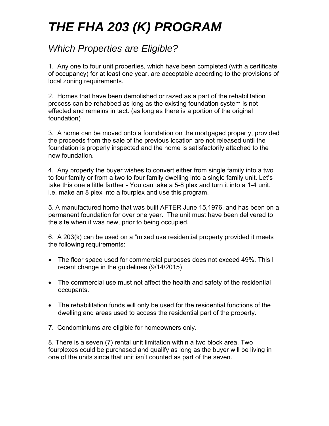# *THE FHA 203 (K) PROGRAM*

### *Which Properties are Eligible?*

1. Any one to four unit properties, which have been completed (with a certificate of occupancy) for at least one year, are acceptable according to the provisions of local zoning requirements.

2. Homes that have been demolished or razed as a part of the rehabilitation process can be rehabbed as long as the existing foundation system is not effected and remains in tact. (as long as there is a portion of the original foundation)

3. A home can be moved onto a foundation on the mortgaged property, provided the proceeds from the sale of the previous location are not released until the foundation is properly inspected and the home is satisfactorily attached to the new foundation.

4. Any property the buyer wishes to convert either from single family into a two to four family or from a two to four family dwelling into a single family unit. Let's take this one a little farther - You can take a 5-8 plex and turn it into a 1-4 unit. i.e. make an 8 plex into a fourplex and use this program.

5. A manufactured home that was built AFTER June 15,1976, and has been on a permanent foundation for over one year. The unit must have been delivered to the site when it was new, prior to being occupied.

6. A 203(k) can be used on a "mixed use residential property provided it meets the following requirements:

- The floor space used for commercial purposes does not exceed 49%. This I recent change in the guidelines (9/14/2015)
- The commercial use must not affect the health and safety of the residential occupants.
- The rehabilitation funds will only be used for the residential functions of the dwelling and areas used to access the residential part of the property.
- 7. Condominiums are eligible for homeowners only.

8. There is a seven (7) rental unit limitation within a two block area. Two fourplexes could be purchased and qualify as long as the buyer will be living in one of the units since that unit isn't counted as part of the seven.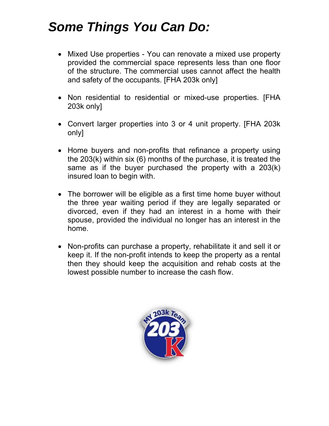## *Some Things You Can Do:*

- Mixed Use properties You can renovate a mixed use property provided the commercial space represents less than one floor of the structure. The commercial uses cannot affect the health and safety of the occupants. [FHA 203k only]
- Non residential to residential or mixed-use properties. [FHA 203k only]
- Convert larger properties into 3 or 4 unit property. [FHA 203k only]
- Home buyers and non-profits that refinance a property using the 203(k) within six (6) months of the purchase, it is treated the same as if the buyer purchased the property with a 203(k) insured loan to begin with.
- The borrower will be eligible as a first time home buyer without the three year waiting period if they are legally separated or divorced, even if they had an interest in a home with their spouse, provided the individual no longer has an interest in the home.
- Non-profits can purchase a property, rehabilitate it and sell it or keep it. If the non-profit intends to keep the property as a rental then they should keep the acquisition and rehab costs at the lowest possible number to increase the cash flow.

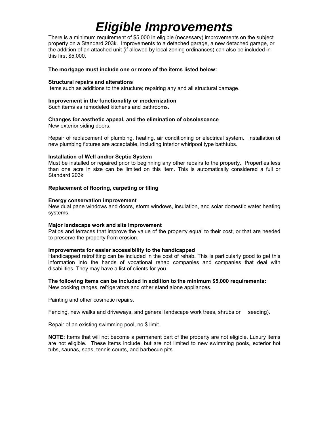# *Eligible Improvements*

There is a minimum requirement of \$5,000 in eligible (necessary) improvements on the subject property on a Standard 203k. Improvements to a detached garage, a new detached garage, or the addition of an attached unit (if allowed by local zoning ordinances) can also be included in this first \$5,000.

#### **The mortgage must include one or more of the items listed below:**

#### **Structural repairs and alterations**

Items such as additions to the structure; repairing any and all structural damage.

#### **Improvement in the functionality or modernization**

Such items as remodeled kitchens and bathrooms.

#### **Changes for aesthetic appeal, and the elimination of obsolescence**

New exterior siding doors.

Repair of replacement of plumbing, heating, air conditioning or electrical system. Installation of new plumbing fixtures are acceptable, including interior whirlpool type bathtubs.

#### **Installation of Well and/or Septic System**

Must be installed or repaired prior to beginning any other repairs to the property. Properties less than one acre in size can be limited on this item. This is automatically considered a full or Standard 203k

#### **Replacement of flooring, carpeting or tiling**

#### **Energy conservation improvement**

New dual pane windows and doors, storm windows, insulation, and solar domestic water heating systems.

#### **Major landscape work and site improvement**

Patios and terraces that improve the value of the property equal to their cost, or that are needed to preserve the property from erosion.

#### **Improvements for easier accessibility to the handicapped**

Handicapped retrofitting can be included in the cost of rehab. This is particularly good to get this information into the hands of vocational rehab companies and companies that deal with disabilities. They may have a list of clients for you.

#### **The following items can be included in addition to the minimum \$5,000 requirements:**

New cooking ranges, refrigerators and other stand alone appliances.

Painting and other cosmetic repairs.

Fencing, new walks and driveways, and general landscape work trees, shrubs or seeding).

Repair of an existing swimming pool, no \$ limit.

**NOTE:** Items that will not become a permanent part of the property are not eligible. Luxury items are not eligible. These items include, but are not limited to new swimming pools, exterior hot tubs, saunas, spas, tennis courts, and barbecue pits.